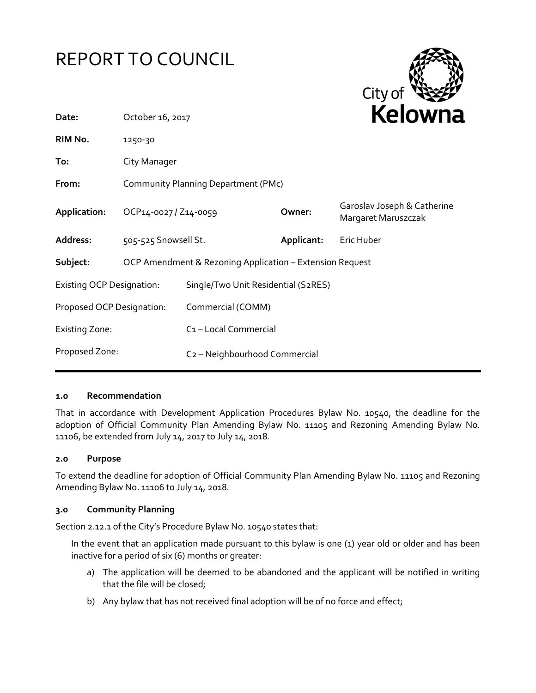



| Date:                            | October 16, 2017                                         |                                           |            | <b>NEIUWIK</b>                                     |
|----------------------------------|----------------------------------------------------------|-------------------------------------------|------------|----------------------------------------------------|
| RIM No.                          | 1250-30                                                  |                                           |            |                                                    |
| To:                              | City Manager                                             |                                           |            |                                                    |
| From:                            | Community Planning Department (PMc)                      |                                           |            |                                                    |
| Application:                     | OCP14-0027 / Z14-0059                                    |                                           | Owner:     | Garoslav Joseph & Catherine<br>Margaret Maruszczak |
| Address:                         | 505-525 Snowsell St.                                     |                                           | Applicant: | Eric Huber                                         |
| Subject:                         | OCP Amendment & Rezoning Application - Extension Request |                                           |            |                                                    |
| <b>Existing OCP Designation:</b> |                                                          | Single/Two Unit Residential (S2RES)       |            |                                                    |
| Proposed OCP Designation:        |                                                          | Commercial (COMM)                         |            |                                                    |
| <b>Existing Zone:</b>            |                                                          | C <sub>1</sub> - Local Commercial         |            |                                                    |
| Proposed Zone:                   |                                                          | C <sub>2</sub> - Neighbourhood Commercial |            |                                                    |
|                                  |                                                          |                                           |            |                                                    |

### **1.0 Recommendation**

That in accordance with Development Application Procedures Bylaw No. 10540, the deadline for the adoption of Official Community Plan Amending Bylaw No. 11105 and Rezoning Amending Bylaw No. 11106, be extended from July 14, 2017 to July 14, 2018.

#### **2.0 Purpose**

To extend the deadline for adoption of Official Community Plan Amending Bylaw No. 11105 and Rezoning Amending Bylaw No. 11106 to July 14, 2018.

### **3.0 Community Planning**

Section 2.12.1 of the City's Procedure Bylaw No. 10540 states that:

In the event that an application made pursuant to this bylaw is one (1) year old or older and has been inactive for a period of six (6) months or greater:

- a) The application will be deemed to be abandoned and the applicant will be notified in writing that the file will be closed;
- b) Any bylaw that has not received final adoption will be of no force and effect;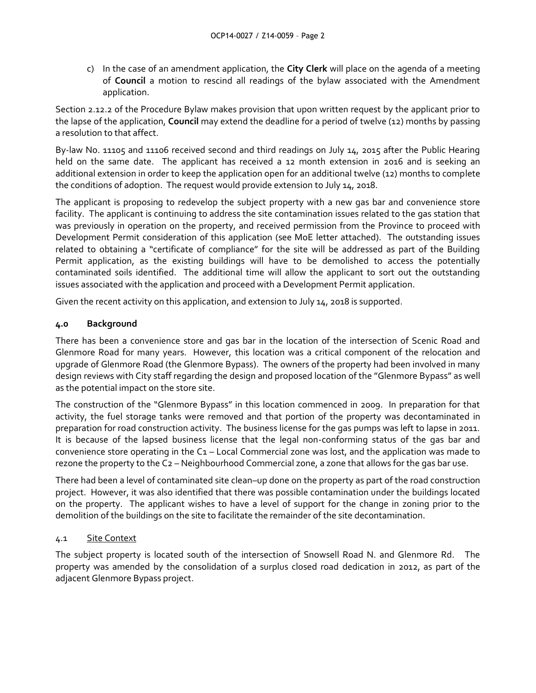c) In the case of an amendment application, the **City Clerk** will place on the agenda of a meeting of **Council** a motion to rescind all readings of the bylaw associated with the Amendment application.

Section 2.12.2 of the Procedure Bylaw makes provision that upon written request by the applicant prior to the lapse of the application, **Council** may extend the deadline for a period of twelve (12) months by passing a resolution to that affect.

By-law No. 11105 and 11106 received second and third readings on July 14, 2015 after the Public Hearing held on the same date. The applicant has received a 12 month extension in 2016 and is seeking an additional extension in order to keep the application open for an additional twelve (12) months to complete the conditions of adoption. The request would provide extension to July 14, 2018.

The applicant is proposing to redevelop the subject property with a new gas bar and convenience store facility. The applicant is continuing to address the site contamination issues related to the gas station that was previously in operation on the property, and received permission from the Province to proceed with Development Permit consideration of this application (see MoE letter attached). The outstanding issues related to obtaining a "certificate of compliance" for the site will be addressed as part of the Building Permit application, as the existing buildings will have to be demolished to access the potentially contaminated soils identified. The additional time will allow the applicant to sort out the outstanding issues associated with the application and proceed with a Development Permit application.

Given the recent activity on this application, and extension to July 14, 2018 is supported.

# **4.0 Background**

There has been a convenience store and gas bar in the location of the intersection of Scenic Road and Glenmore Road for many years. However, this location was a critical component of the relocation and upgrade of Glenmore Road (the Glenmore Bypass). The owners of the property had been involved in many design reviews with City staff regarding the design and proposed location of the "Glenmore Bypass" as well as the potential impact on the store site.

The construction of the "Glenmore Bypass" in this location commenced in 2009. In preparation for that activity, the fuel storage tanks were removed and that portion of the property was decontaminated in preparation for road construction activity. The business license for the gas pumps was left to lapse in 2011. It is because of the lapsed business license that the legal non-conforming status of the gas bar and convenience store operating in the C1 – Local Commercial zone was lost, and the application was made to rezone the property to the C2 – Neighbourhood Commercial zone, a zone that allows for the gas bar use.

There had been a level of contaminated site clean–up done on the property as part of the road construction project. However, it was also identified that there was possible contamination under the buildings located on the property. The applicant wishes to have a level of support for the change in zoning prior to the demolition of the buildings on the site to facilitate the remainder of the site decontamination.

# 4.1 Site Context

The subject property is located south of the intersection of Snowsell Road N. and Glenmore Rd. The property was amended by the consolidation of a surplus closed road dedication in 2012, as part of the adjacent Glenmore Bypass project.